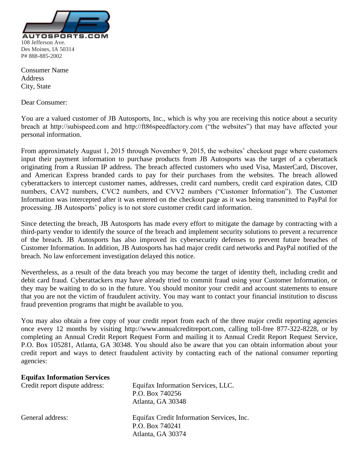

Consumer Name **Address** City, State

Dear Consumer:

You are a valued customer of JB Autosports, Inc., which is why you are receiving this notice about a security breach at http://subispeed.com and http://ft86speedfactory.com ("the websites") that may have affected your personal information.

From approximately August 1, 2015 through November 9, 2015, the websites' checkout page where customers input their payment information to purchase products from JB Autosports was the target of a cyberattack originating from a Russian IP address. The breach affected customers who used Visa, MasterCard, Discover, and American Express branded cards to pay for their purchases from the websites. The breach allowed cyberattackers to intercept customer names, addresses, credit card numbers, credit card expiration dates, CID numbers, CAV2 numbers, CVC2 numbers, and CVV2 numbers ("Customer Information"). The Customer Information was intercepted after it was entered on the checkout page as it was being transmitted to PayPal for processing. JB Autosports' policy is to not store customer credit card information.

Since detecting the breach, JB Autosports has made every effort to mitigate the damage by contracting with a third-party vendor to identify the source of the breach and implement security solutions to prevent a recurrence of the breach. JB Autosports has also improved its cybersecurity defenses to prevent future breaches of Customer Information. In addition, JB Autosports has had major credit card networks and PayPal notified of the breach. No law enforcement investigation delayed this notice.

Nevertheless, as a result of the data breach you may become the target of identity theft, including credit and debit card fraud. Cyberattackers may have already tried to commit fraud using your Customer Information, or they may be waiting to do so in the future. You should monitor your credit and account statements to ensure that you are not the victim of fraudulent activity. You may want to contact your financial institution to discuss fraud prevention programs that might be available to you.

You may also obtain a free copy of your credit report from each of the three major credit reporting agencies once every 12 months by visiting http://www.annualcreditreport.com, calling toll-free 877-322-8228, or by completing an Annual Credit Report Request Form and mailing it to Annual Credit Report Request Service, P.O. Box 105281, Atlanta, GA 30348. You should also be aware that you can obtain information about your credit report and ways to detect fraudulent activity by contacting each of the national consumer reporting agencies:

## **Equifax Information Services**

| Credit report dispute address: | Equifax Information Services, LLC.        |
|--------------------------------|-------------------------------------------|
|                                | P.O. Box 740256                           |
|                                | Atlanta, GA 30348                         |
| General address:               | Equifax Credit Information Services, Inc. |
|                                | P.O. Box 740241                           |
|                                | Atlanta, GA 30374                         |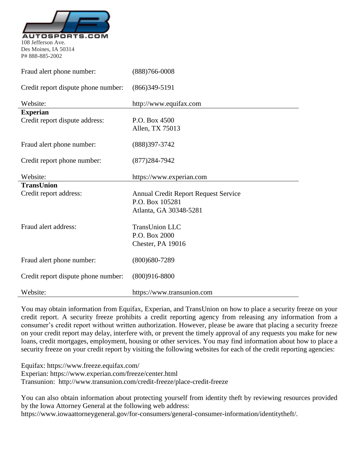

Des Moines, IA 50314 P# 888-885-2002

| Fraud alert phone number:           | $(888)766 - 0008$                           |
|-------------------------------------|---------------------------------------------|
| Credit report dispute phone number: | $(866)349-5191$                             |
| Website:                            | http://www.equifax.com                      |
| <b>Experian</b>                     |                                             |
| Credit report dispute address:      | P.O. Box 4500                               |
|                                     | Allen, TX 75013                             |
| Fraud alert phone number:           | (888) 397-3742                              |
|                                     |                                             |
| Credit report phone number:         | $(877)284 - 7942$                           |
| Website:                            | https://www.experian.com                    |
| TransUnion                          |                                             |
| Credit report address:              | <b>Annual Credit Report Request Service</b> |
|                                     | P.O. Box 105281                             |
|                                     | Atlanta, GA 30348-5281                      |
| Fraud alert address:                | <b>TransUnion LLC</b>                       |
|                                     | P.O. Box 2000                               |
|                                     | Chester, PA 19016                           |
| Fraud alert phone number:           | $(800)680 - 7289$                           |
|                                     |                                             |
| Credit report dispute phone number: | $(800)916 - 8800$                           |
| Website:                            | https://www.transunion.com                  |

You may obtain information from Equifax, Experian, and TransUnion on how to place a security freeze on your credit report. A security freeze prohibits a credit reporting agency from releasing any information from a consumer's credit report without written authorization. However, please be aware that placing a security freeze on your credit report may delay, interfere with, or prevent the timely approval of any requests you make for new loans, credit mortgages, employment, housing or other services. You may find information about how to place a security freeze on your credit report by visiting the following websites for each of the credit reporting agencies:

Equifax: https://www.freeze.equifax.com/

Experian: https://www.experian.com/freeze/center.html

Transunion: http://www.transunion.com/credit-freeze/place-credit-freeze

You can also obtain information about protecting yourself from identity theft by reviewing resources provided by the Iowa Attorney General at the following web address:

https://www.iowaattorneygeneral.gov/for-consumers/general-consumer-information/identitytheft/.